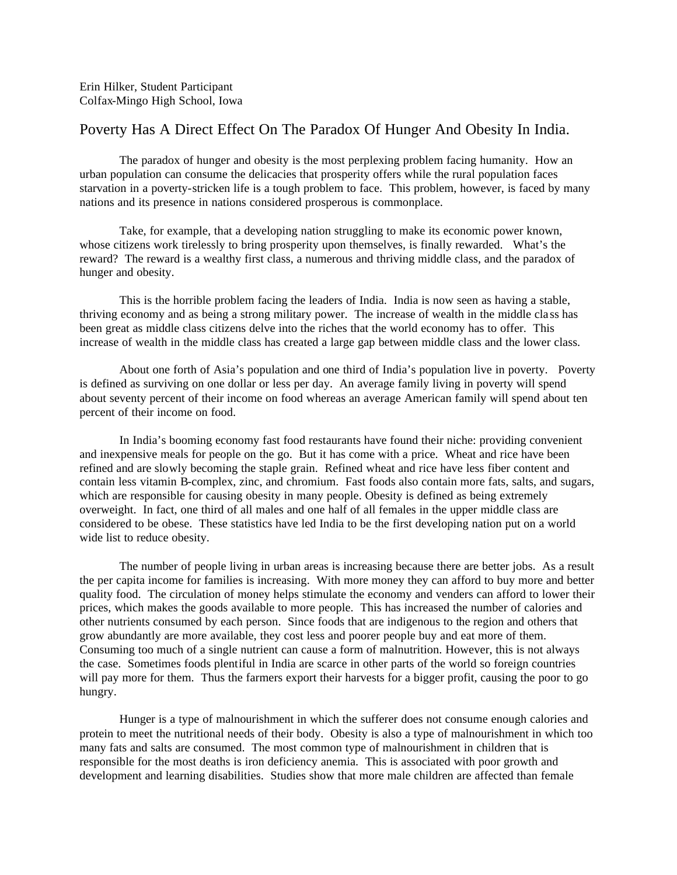## Poverty Has A Direct Effect On The Paradox Of Hunger And Obesity In India.

The paradox of hunger and obesity is the most perplexing problem facing humanity. How an urban population can consume the delicacies that prosperity offers while the rural population faces starvation in a poverty-stricken life is a tough problem to face. This problem, however, is faced by many nations and its presence in nations considered prosperous is commonplace.

Take, for example, that a developing nation struggling to make its economic power known, whose citizens work tirelessly to bring prosperity upon themselves, is finally rewarded. What's the reward? The reward is a wealthy first class, a numerous and thriving middle class, and the paradox of hunger and obesity.

This is the horrible problem facing the leaders of India. India is now seen as having a stable, thriving economy and as being a strong military power. The increase of wealth in the middle cla ss has been great as middle class citizens delve into the riches that the world economy has to offer. This increase of wealth in the middle class has created a large gap between middle class and the lower class.

About one forth of Asia's population and one third of India's population live in poverty. Poverty is defined as surviving on one dollar or less per day. An average family living in poverty will spend about seventy percent of their income on food whereas an average American family will spend about ten percent of their income on food.

In India's booming economy fast food restaurants have found their niche: providing convenient and inexpensive meals for people on the go. But it has come with a price. Wheat and rice have been refined and are slowly becoming the staple grain. Refined wheat and rice have less fiber content and contain less vitamin B-complex, zinc, and chromium. Fast foods also contain more fats, salts, and sugars, which are responsible for causing obesity in many people. Obesity is defined as being extremely overweight. In fact, one third of all males and one half of all females in the upper middle class are considered to be obese. These statistics have led India to be the first developing nation put on a world wide list to reduce obesity.

The number of people living in urban areas is increasing because there are better jobs. As a result the per capita income for families is increasing. With more money they can afford to buy more and better quality food. The circulation of money helps stimulate the economy and venders can afford to lower their prices, which makes the goods available to more people. This has increased the number of calories and other nutrients consumed by each person. Since foods that are indigenous to the region and others that grow abundantly are more available, they cost less and poorer people buy and eat more of them. Consuming too much of a single nutrient can cause a form of malnutrition. However, this is not always the case. Sometimes foods plentiful in India are scarce in other parts of the world so foreign countries will pay more for them. Thus the farmers export their harvests for a bigger profit, causing the poor to go hungry.

Hunger is a type of malnourishment in which the sufferer does not consume enough calories and protein to meet the nutritional needs of their body. Obesity is also a type of malnourishment in which too many fats and salts are consumed. The most common type of malnourishment in children that is responsible for the most deaths is iron deficiency anemia. This is associated with poor growth and development and learning disabilities. Studies show that more male children are affected than female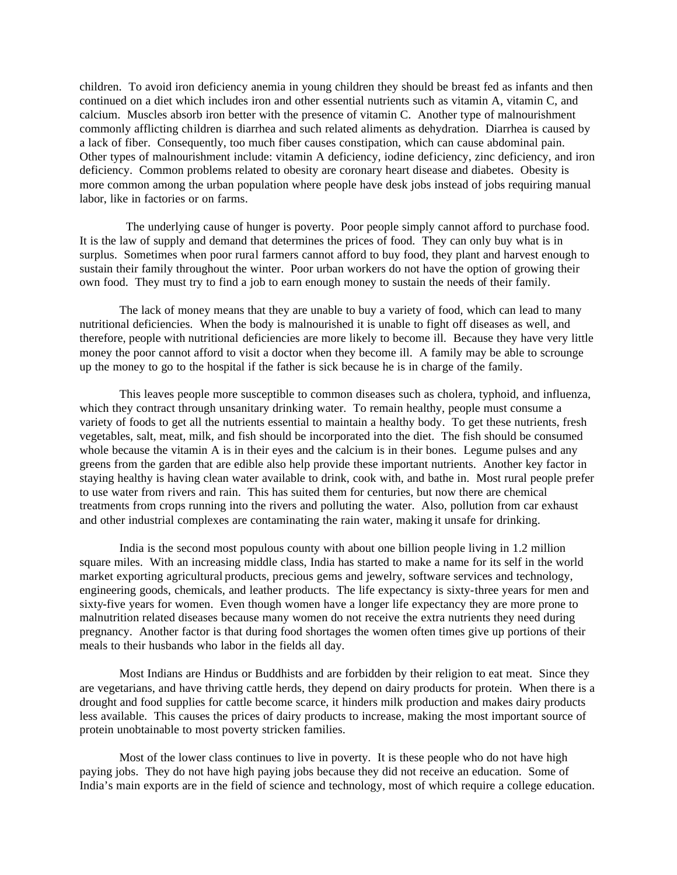children. To avoid iron deficiency anemia in young children they should be breast fed as infants and then continued on a diet which includes iron and other essential nutrients such as vitamin A, vitamin C, and calcium. Muscles absorb iron better with the presence of vitamin C. Another type of malnourishment commonly afflicting children is diarrhea and such related aliments as dehydration. Diarrhea is caused by a lack of fiber. Consequently, too much fiber causes constipation, which can cause abdominal pain. Other types of malnourishment include: vitamin A deficiency, iodine deficiency, zinc deficiency, and iron deficiency. Common problems related to obesity are coronary heart disease and diabetes. Obesity is more common among the urban population where people have desk jobs instead of jobs requiring manual labor, like in factories or on farms.

 The underlying cause of hunger is poverty. Poor people simply cannot afford to purchase food. It is the law of supply and demand that determines the prices of food. They can only buy what is in surplus. Sometimes when poor rural farmers cannot afford to buy food, they plant and harvest enough to sustain their family throughout the winter. Poor urban workers do not have the option of growing their own food. They must try to find a job to earn enough money to sustain the needs of their family.

The lack of money means that they are unable to buy a variety of food, which can lead to many nutritional deficiencies. When the body is malnourished it is unable to fight off diseases as well, and therefore, people with nutritional deficiencies are more likely to become ill. Because they have very little money the poor cannot afford to visit a doctor when they become ill. A family may be able to scrounge up the money to go to the hospital if the father is sick because he is in charge of the family.

This leaves people more susceptible to common diseases such as cholera, typhoid, and influenza, which they contract through unsanitary drinking water. To remain healthy, people must consume a variety of foods to get all the nutrients essential to maintain a healthy body. To get these nutrients, fresh vegetables, salt, meat, milk, and fish should be incorporated into the diet. The fish should be consumed whole because the vitamin A is in their eyes and the calcium is in their bones. Legume pulses and any greens from the garden that are edible also help provide these important nutrients. Another key factor in staying healthy is having clean water available to drink, cook with, and bathe in. Most rural people prefer to use water from rivers and rain. This has suited them for centuries, but now there are chemical treatments from crops running into the rivers and polluting the water. Also, pollution from car exhaust and other industrial complexes are contaminating the rain water, making it unsafe for drinking.

India is the second most populous county with about one billion people living in 1.2 million square miles. With an increasing middle class, India has started to make a name for its self in the world market exporting agricultural products, precious gems and jewelry, software services and technology, engineering goods, chemicals, and leather products. The life expectancy is sixty-three years for men and sixty-five years for women. Even though women have a longer life expectancy they are more prone to malnutrition related diseases because many women do not receive the extra nutrients they need during pregnancy. Another factor is that during food shortages the women often times give up portions of their meals to their husbands who labor in the fields all day.

Most Indians are Hindus or Buddhists and are forbidden by their religion to eat meat. Since they are vegetarians, and have thriving cattle herds, they depend on dairy products for protein. When there is a drought and food supplies for cattle become scarce, it hinders milk production and makes dairy products less available. This causes the prices of dairy products to increase, making the most important source of protein unobtainable to most poverty stricken families.

Most of the lower class continues to live in poverty. It is these people who do not have high paying jobs. They do not have high paying jobs because they did not receive an education. Some of India's main exports are in the field of science and technology, most of which require a college education.